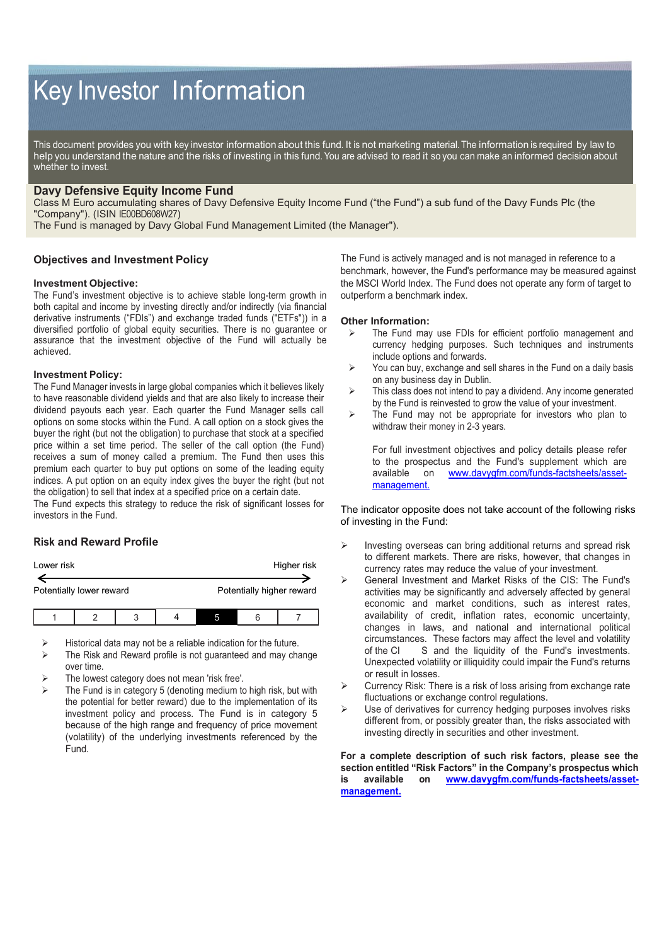# Key Investor Information

This document provides you with key investor information about this fund. It is not marketing material. The information is required by law to help you understand the nature and the risks of investing in this fund. You are advised to read it so you can make an informed decision about whether to invest.

## **Davy Defensive Equity Income Fund**

Class M Euro accumulating shares of Davy Defensive Equity Income Fund ("the Fund") a sub fund of the Davy Funds Plc (the "Company"). (ISIN IE00BD608W27)

The Fund is managed by Davy Global Fund Management Limited (the Manager").

## **Objectives and Investment Policy**

#### **Investment Objective:**

The Fund's investment objective is to achieve stable long-term growth in both capital and income by investing directly and/or indirectly (via financial derivative instruments ("FDIs") and exchange traded funds ("ETFs")) in a diversified portfolio of global equity securities. There is no guarantee or assurance that the investment objective of the Fund will actually be achieved.

#### **Investment Policy:**

The Fund Manager invests in large global companies which it believes likely to have reasonable dividend yields and that are also likely to increase their dividend payouts each year. Each quarter the Fund Manager sells call options on some stocks within the Fund. A call option on a stock gives the buyer the right (but not the obligation) to purchase that stock at a specified price within a set time period. The seller of the call option (the Fund) receives a sum of money called a premium. The Fund then uses this premium each quarter to buy put options on some of the leading equity indices. A put option on an equity index gives the buyer the right (but not the obligation) to sell that index at a specified price on a certain date.

The Fund expects this strategy to reduce the risk of significant losses for investors in the Fund.

## **Risk and Reward Profile**

| Lower risk               |  |   |  |                           |  | Higher risk |
|--------------------------|--|---|--|---------------------------|--|-------------|
| Potentially lower reward |  |   |  | Potentially higher reward |  |             |
|                          |  | ↷ |  |                           |  |             |

Historical data may not be a reliable indication for the future.

- The Risk and Reward profile is not guaranteed and may change over time.
- The lowest category does not mean 'risk free'.
- The Fund is in category 5 (denoting medium to high risk, but with the potential for better reward) due to the implementation of its investment policy and process. The Fund is in category 5 because of the high range and frequency of price movement (volatility) of the underlying investments referenced by the Fund.

The Fund is actively managed and is not managed in reference to a benchmark, however, the Fund's performance may be measured against the MSCI World Index. The Fund does not operate any form of target to outperform a benchmark index.

#### **Other Information:**

- $\triangleright$  The Fund may use FDIs for efficient portfolio management and currency hedging purposes. Such techniques and instruments include options and forwards.
- $\triangleright$  You can buy, exchange and sell shares in the Fund on a daily basis on any business day in Dublin.
- $\triangleright$  This class does not intend to pay a dividend. Any income generated by the Fund is reinvested to grow the value of your investment.
- $\triangleright$  The Fund may not be appropriate for investors who plan to withdraw their money in 2-3 years.

For full investment objectives and policy details please refer to the prospectus and the Fund's supplement which are available on [www.davygfm.com/funds-factsheets/asset](http://www.davygfm.com/funds-factsheets/asset-management.)[management.](http://www.davygfm.com/funds-factsheets/asset-management.)

The indicator opposite does not take account of the following risks of investing in the Fund:

- Investing overseas can bring additional returns and spread risk to different markets. There are risks, however, that changes in currency rates may reduce the value of your investment.
- General Investment and Market Risks of the CIS: The Fund's activities may be significantly and adversely affected by general economic and market conditions, such as interest rates, availability of credit, inflation rates, economic uncertainty, changes in laws, and national and international political circumstances. These factors may affect the level and volatility of the CI S and the liquidity of the Fund's investments. Unexpected volatility or illiquidity could impair the Fund's returns or result in losses.
- Currency Risk: There is a risk of loss arising from exchange rate fluctuations or exchange control regulations.
- Use of derivatives for currency hedging purposes involves risks different from, or possibly greater than, the risks associated with investing directly in securities and other investment.

**For a complete description of such risk factors, please see the section entitled "Risk Factors" in the Company's prospectus which is available on [www.davygfm.com/funds-factsheets/asset](http://www.davygfm.com/funds-factsheets/asset-management.)[management.](http://www.davygfm.com/funds-factsheets/asset-management.)**